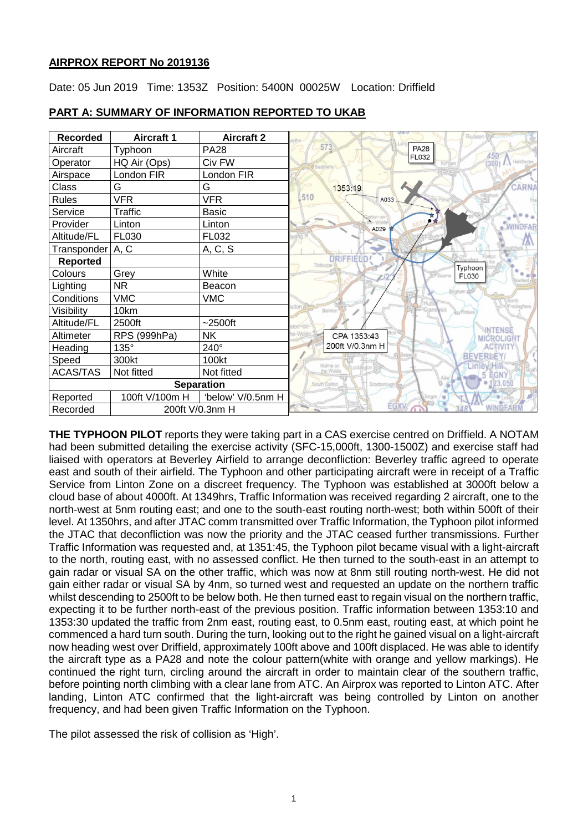### **AIRPROX REPORT No 2019136**

Date: 05 Jun 2019 Time: 1353Z Position: 5400N 00025W Location: Driffield

| <b>Recorded</b>   | <b>Aircraft 1</b> | <b>Aircraft 2</b> | Rudston                                  |
|-------------------|-------------------|-------------------|------------------------------------------|
| Aircraft          | Typhoon           | <b>PA28</b>       | 573<br><b>PA28</b><br>450                |
| Operator          | HQ Air (Ops)      | Civ FW            | FL032<br>300                             |
| Airspace          | London FIR        | London FIR        |                                          |
| Class             | G                 | G                 | CARNA<br>1353:19                         |
| <b>Rules</b>      | <b>VFR</b>        | <b>VFR</b>        | 510<br>A033                              |
| Service           | Traffic           | <b>Basic</b>      |                                          |
| Provider          | Linton            | Linton            | WINDFA<br>A029                           |
| Altitude/FL       | FL030             | FL032             |                                          |
| Transponder A, C  |                   | A, C, S           |                                          |
| <b>Reported</b>   |                   |                   | <b>DRIFFIELD</b><br>Tibthorpe<br>Typhoon |
| Colours           | Grey              | White             | <b>FL030</b>                             |
| Lighting          | <b>NR</b>         | Beacon            |                                          |
| Conditions        | <b>VMC</b>        | <b>VMC</b>        |                                          |
| Visibility        | 10km              |                   | vick<br>Bainton<br>Rotsea                |
| Altitude/FL       | 2500ft            | $~2500$ ft        | <b>INTENSE</b>                           |
| Altimeter         | RPS (999hPa)      | <b>NK</b>         | e-Wold<br>CPA 1353:43<br>MICROLIGHT      |
| Heading           | 135°              | 240°              | 200ft V/0.3nm H<br><b>ACTIVIT</b>        |
| Speed             | 300kt             | 100kt             | <b>BEVERLEY</b><br>Holme on<br>inley.    |
| <b>ACAS/TAS</b>   | Not fitted        | Not fitted        | the Wolds<br>GN)                         |
| <b>Separation</b> |                   |                   | 23.050<br>South Dalton<br>Scorborough    |
| Reported          | 100ft V/100m H    | 'below' V/0.5nm H | Arram                                    |
| Recorded          | 200ft V/0.3nm H   |                   | <b>FGXI</b>                              |

### **PART A: SUMMARY OF INFORMATION REPORTED TO UKAB**

**THE TYPHOON PILOT** reports they were taking part in a CAS exercise centred on Driffield. A NOTAM had been submitted detailing the exercise activity (SFC-15,000ft, 1300-1500Z) and exercise staff had liaised with operators at Beverley Airfield to arrange deconfliction: Beverley traffic agreed to operate east and south of their airfield. The Typhoon and other participating aircraft were in receipt of a Traffic Service from Linton Zone on a discreet frequency. The Typhoon was established at 3000ft below a cloud base of about 4000ft. At 1349hrs, Traffic Information was received regarding 2 aircraft, one to the north-west at 5nm routing east; and one to the south-east routing north-west; both within 500ft of their level. At 1350hrs, and after JTAC comm transmitted over Traffic Information, the Typhoon pilot informed the JTAC that deconfliction was now the priority and the JTAC ceased further transmissions. Further Traffic Information was requested and, at 1351:45, the Typhoon pilot became visual with a light-aircraft to the north, routing east, with no assessed conflict. He then turned to the south-east in an attempt to gain radar or visual SA on the other traffic, which was now at 8nm still routing north-west. He did not gain either radar or visual SA by 4nm, so turned west and requested an update on the northern traffic whilst descending to 2500ft to be below both. He then turned east to regain visual on the northern traffic, expecting it to be further north-east of the previous position. Traffic information between 1353:10 and 1353:30 updated the traffic from 2nm east, routing east, to 0.5nm east, routing east, at which point he commenced a hard turn south. During the turn, looking out to the right he gained visual on a light-aircraft now heading west over Driffield, approximately 100ft above and 100ft displaced. He was able to identify the aircraft type as a PA28 and note the colour pattern(white with orange and yellow markings). He continued the right turn, circling around the aircraft in order to maintain clear of the southern traffic, before pointing north climbing with a clear lane from ATC. An Airprox was reported to Linton ATC. After landing, Linton ATC confirmed that the light-aircraft was being controlled by Linton on another frequency, and had been given Traffic Information on the Typhoon.

The pilot assessed the risk of collision as 'High'.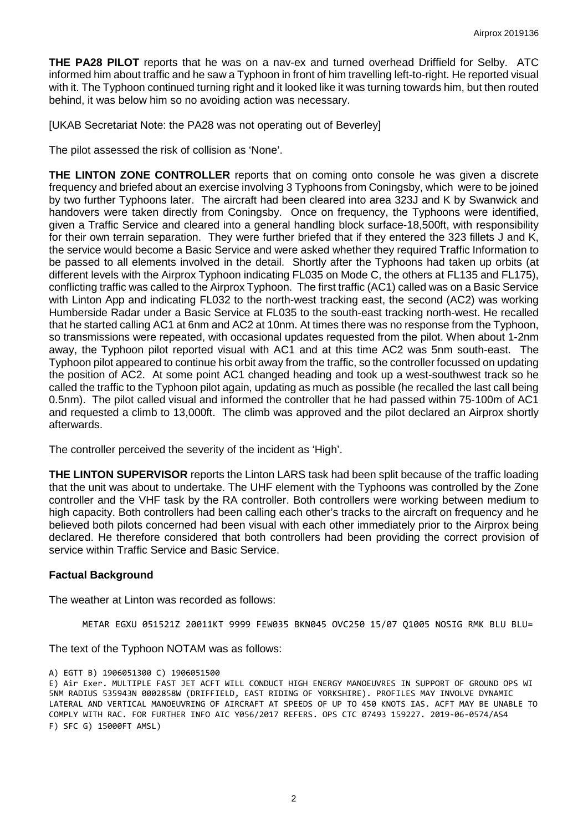**THE PA28 PILOT** reports that he was on a nav-ex and turned overhead Driffield for Selby. ATC informed him about traffic and he saw a Typhoon in front of him travelling left-to-right. He reported visual with it. The Typhoon continued turning right and it looked like it was turning towards him, but then routed behind, it was below him so no avoiding action was necessary.

[UKAB Secretariat Note: the PA28 was not operating out of Beverley]

The pilot assessed the risk of collision as 'None'.

**THE LINTON ZONE CONTROLLER** reports that on coming onto console he was given a discrete frequency and briefed about an exercise involving 3 Typhoons from Coningsby, which were to be joined by two further Typhoons later. The aircraft had been cleared into area 323J and K by Swanwick and handovers were taken directly from Coningsby. Once on frequency, the Typhoons were identified, given a Traffic Service and cleared into a general handling block surface-18,500ft, with responsibility for their own terrain separation. They were further briefed that if they entered the 323 fillets J and K, the service would become a Basic Service and were asked whether they required Traffic Information to be passed to all elements involved in the detail. Shortly after the Typhoons had taken up orbits (at different levels with the Airprox Typhoon indicating FL035 on Mode C, the others at FL135 and FL175), conflicting traffic was called to the Airprox Typhoon. The first traffic (AC1) called was on a Basic Service with Linton App and indicating FL032 to the north-west tracking east, the second (AC2) was working Humberside Radar under a Basic Service at FL035 to the south-east tracking north-west. He recalled that he started calling AC1 at 6nm and AC2 at 10nm. At times there was no response from the Typhoon, so transmissions were repeated, with occasional updates requested from the pilot. When about 1-2nm away, the Typhoon pilot reported visual with AC1 and at this time AC2 was 5nm south-east. The Typhoon pilot appeared to continue his orbit away from the traffic, so the controller focussed on updating the position of AC2. At some point AC1 changed heading and took up a west-southwest track so he called the traffic to the Typhoon pilot again, updating as much as possible (he recalled the last call being 0.5nm). The pilot called visual and informed the controller that he had passed within 75-100m of AC1 and requested a climb to 13,000ft. The climb was approved and the pilot declared an Airprox shortly afterwards.

The controller perceived the severity of the incident as 'High'.

**THE LINTON SUPERVISOR** reports the Linton LARS task had been split because of the traffic loading that the unit was about to undertake. The UHF element with the Typhoons was controlled by the Zone controller and the VHF task by the RA controller. Both controllers were working between medium to high capacity. Both controllers had been calling each other's tracks to the aircraft on frequency and he believed both pilots concerned had been visual with each other immediately prior to the Airprox being declared. He therefore considered that both controllers had been providing the correct provision of service within Traffic Service and Basic Service.

#### **Factual Background**

The weather at Linton was recorded as follows:

METAR EGXU 051521Z 20011KT 9999 FEW035 BKN045 OVC250 15/07 Q1005 NOSIG RMK BLU BLU=

The text of the Typhoon NOTAM was as follows:

```
A) EGTT B) 1906051300 C) 1906051500
```
E) Air Exer. MULTIPLE FAST JET ACFT WILL CONDUCT HIGH ENERGY MANOEUVRES IN SUPPORT OF GROUND OPS WI 5NM RADIUS 535943N 0002858W (DRIFFIELD, EAST RIDING OF YORKSHIRE). PROFILES MAY INVOLVE DYNAMIC LATERAL AND VERTICAL MANOEUVRING OF AIRCRAFT AT SPEEDS OF UP TO 450 KNOTS IAS. ACFT MAY BE UNABLE TO COMPLY WITH RAC. FOR FURTHER INFO AIC Y056/2017 REFERS. OPS CTC 07493 159227. 2019-06-0574/AS4 F) SFC G) 15000FT AMSL)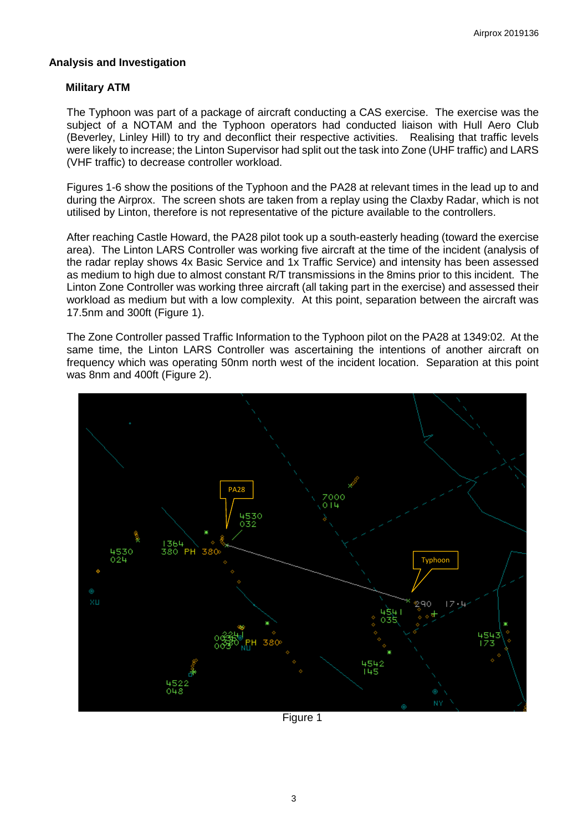#### **Analysis and Investigation**

#### **Military ATM**

The Typhoon was part of a package of aircraft conducting a CAS exercise. The exercise was the subject of a NOTAM and the Typhoon operators had conducted liaison with Hull Aero Club (Beverley, Linley Hill) to try and deconflict their respective activities. Realising that traffic levels were likely to increase; the Linton Supervisor had split out the task into Zone (UHF traffic) and LARS (VHF traffic) to decrease controller workload.

Figures 1-6 show the positions of the Typhoon and the PA28 at relevant times in the lead up to and during the Airprox. The screen shots are taken from a replay using the Claxby Radar, which is not utilised by Linton, therefore is not representative of the picture available to the controllers.

After reaching Castle Howard, the PA28 pilot took up a south-easterly heading (toward the exercise area). The Linton LARS Controller was working five aircraft at the time of the incident (analysis of the radar replay shows 4x Basic Service and 1x Traffic Service) and intensity has been assessed as medium to high due to almost constant R/T transmissions in the 8mins prior to this incident. The Linton Zone Controller was working three aircraft (all taking part in the exercise) and assessed their workload as medium but with a low complexity. At this point, separation between the aircraft was 17.5nm and 300ft (Figure 1).

The Zone Controller passed Traffic Information to the Typhoon pilot on the PA28 at 1349:02. At the same time, the Linton LARS Controller was ascertaining the intentions of another aircraft on frequency which was operating 50nm north west of the incident location. Separation at this point was 8nm and 400ft (Figure 2).



Figure 1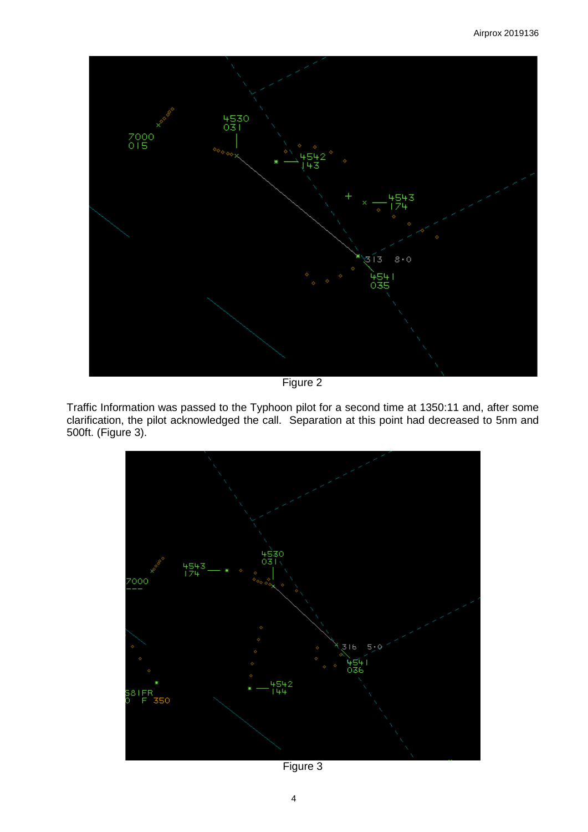

Figure 2

Traffic Information was passed to the Typhoon pilot for a second time at 1350:11 and, after some clarification, the pilot acknowledged the call. Separation at this point had decreased to 5nm and 500ft. (Figure 3).



Figure 3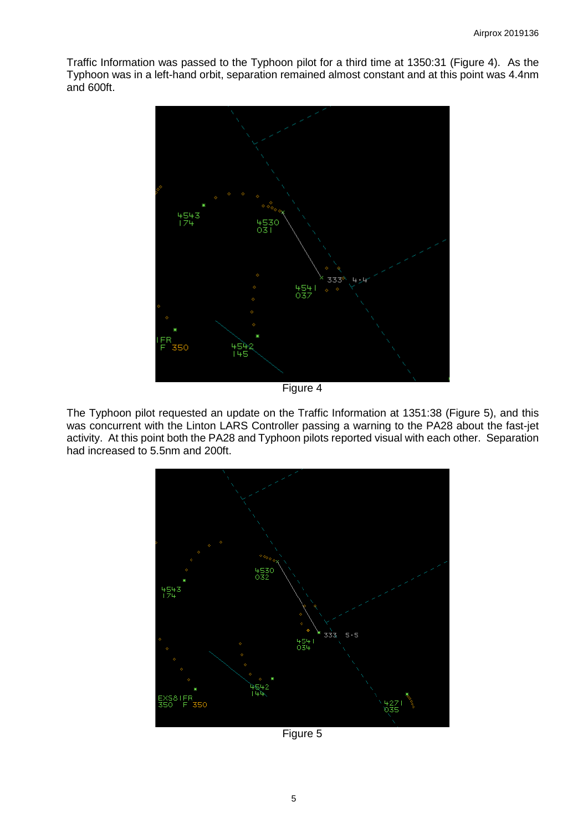Traffic Information was passed to the Typhoon pilot for a third time at 1350:31 (Figure 4). As the Typhoon was in a left-hand orbit, separation remained almost constant and at this point was 4.4nm and 600ft.



Figure 4

The Typhoon pilot requested an update on the Traffic Information at 1351:38 (Figure 5), and this was concurrent with the Linton LARS Controller passing a warning to the PA28 about the fast-jet activity. At this point both the PA28 and Typhoon pilots reported visual with each other. Separation had increased to 5.5nm and 200ft.



Figure 5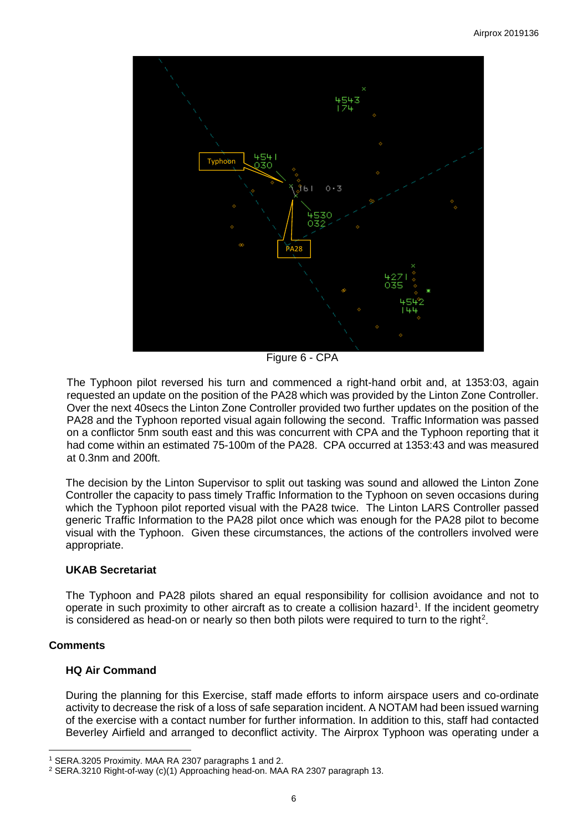

Figure 6 - CPA

The Typhoon pilot reversed his turn and commenced a right-hand orbit and, at 1353:03, again requested an update on the position of the PA28 which was provided by the Linton Zone Controller. Over the next 40secs the Linton Zone Controller provided two further updates on the position of the PA28 and the Typhoon reported visual again following the second. Traffic Information was passed on a conflictor 5nm south east and this was concurrent with CPA and the Typhoon reporting that it had come within an estimated 75-100m of the PA28. CPA occurred at 1353:43 and was measured at 0.3nm and 200ft.

The decision by the Linton Supervisor to split out tasking was sound and allowed the Linton Zone Controller the capacity to pass timely Traffic Information to the Typhoon on seven occasions during which the Typhoon pilot reported visual with the PA28 twice. The Linton LARS Controller passed generic Traffic Information to the PA28 pilot once which was enough for the PA28 pilot to become visual with the Typhoon. Given these circumstances, the actions of the controllers involved were appropriate.

### **UKAB Secretariat**

The Typhoon and PA28 pilots shared an equal responsibility for collision avoidance and not to operate in such proximity to other aircraft as to create a collision hazard<sup>[1](#page-5-0)</sup>. If the incident geometry is considered as head-on or nearly so then both pilots were required to turn to the right<sup>[2](#page-5-1)</sup>.

### **Comments**

### **HQ Air Command**

During the planning for this Exercise, staff made efforts to inform airspace users and co-ordinate activity to decrease the risk of a loss of safe separation incident. A NOTAM had been issued warning of the exercise with a contact number for further information. In addition to this, staff had contacted Beverley Airfield and arranged to deconflict activity. The Airprox Typhoon was operating under a

 $\overline{\phantom{a}}$ <sup>1</sup> SERA.3205 Proximity. MAA RA 2307 paragraphs 1 and 2.

<span id="page-5-1"></span><span id="page-5-0"></span><sup>2</sup> SERA.3210 Right-of-way (c)(1) Approaching head-on. MAA RA 2307 paragraph 13.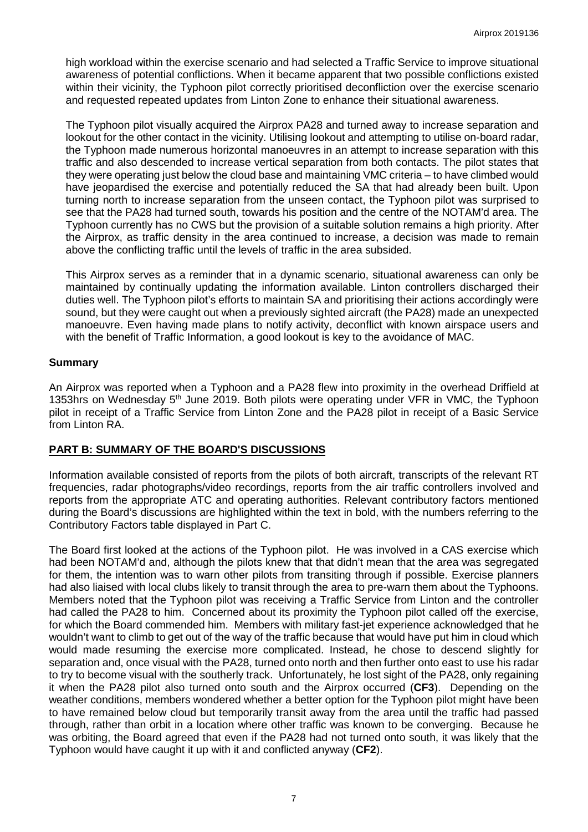high workload within the exercise scenario and had selected a Traffic Service to improve situational awareness of potential conflictions. When it became apparent that two possible conflictions existed within their vicinity, the Typhoon pilot correctly prioritised deconfliction over the exercise scenario and requested repeated updates from Linton Zone to enhance their situational awareness.

The Typhoon pilot visually acquired the Airprox PA28 and turned away to increase separation and lookout for the other contact in the vicinity. Utilising lookout and attempting to utilise on-board radar, the Typhoon made numerous horizontal manoeuvres in an attempt to increase separation with this traffic and also descended to increase vertical separation from both contacts. The pilot states that they were operating just below the cloud base and maintaining VMC criteria – to have climbed would have jeopardised the exercise and potentially reduced the SA that had already been built. Upon turning north to increase separation from the unseen contact, the Typhoon pilot was surprised to see that the PA28 had turned south, towards his position and the centre of the NOTAM'd area. The Typhoon currently has no CWS but the provision of a suitable solution remains a high priority. After the Airprox, as traffic density in the area continued to increase, a decision was made to remain above the conflicting traffic until the levels of traffic in the area subsided.

This Airprox serves as a reminder that in a dynamic scenario, situational awareness can only be maintained by continually updating the information available. Linton controllers discharged their duties well. The Typhoon pilot's efforts to maintain SA and prioritising their actions accordingly were sound, but they were caught out when a previously sighted aircraft (the PA28) made an unexpected manoeuvre. Even having made plans to notify activity, deconflict with known airspace users and with the benefit of Traffic Information, a good lookout is key to the avoidance of MAC.

## **Summary**

An Airprox was reported when a Typhoon and a PA28 flew into proximity in the overhead Driffield at 1353hrs on Wednesday 5<sup>th</sup> June 2019. Both pilots were operating under VFR in VMC, the Typhoon pilot in receipt of a Traffic Service from Linton Zone and the PA28 pilot in receipt of a Basic Service from Linton RA.

### **PART B: SUMMARY OF THE BOARD'S DISCUSSIONS**

Information available consisted of reports from the pilots of both aircraft, transcripts of the relevant RT frequencies, radar photographs/video recordings, reports from the air traffic controllers involved and reports from the appropriate ATC and operating authorities. Relevant contributory factors mentioned during the Board's discussions are highlighted within the text in bold, with the numbers referring to the Contributory Factors table displayed in Part C.

The Board first looked at the actions of the Typhoon pilot. He was involved in a CAS exercise which had been NOTAM'd and, although the pilots knew that that didn't mean that the area was segregated for them, the intention was to warn other pilots from transiting through if possible. Exercise planners had also liaised with local clubs likely to transit through the area to pre-warn them about the Typhoons. Members noted that the Typhoon pilot was receiving a Traffic Service from Linton and the controller had called the PA28 to him. Concerned about its proximity the Typhoon pilot called off the exercise, for which the Board commended him. Members with military fast-jet experience acknowledged that he wouldn't want to climb to get out of the way of the traffic because that would have put him in cloud which would made resuming the exercise more complicated. Instead, he chose to descend slightly for separation and, once visual with the PA28, turned onto north and then further onto east to use his radar to try to become visual with the southerly track. Unfortunately, he lost sight of the PA28, only regaining it when the PA28 pilot also turned onto south and the Airprox occurred (**CF3**). Depending on the weather conditions, members wondered whether a better option for the Typhoon pilot might have been to have remained below cloud but temporarily transit away from the area until the traffic had passed through, rather than orbit in a location where other traffic was known to be converging. Because he was orbiting, the Board agreed that even if the PA28 had not turned onto south, it was likely that the Typhoon would have caught it up with it and conflicted anyway (**CF2**).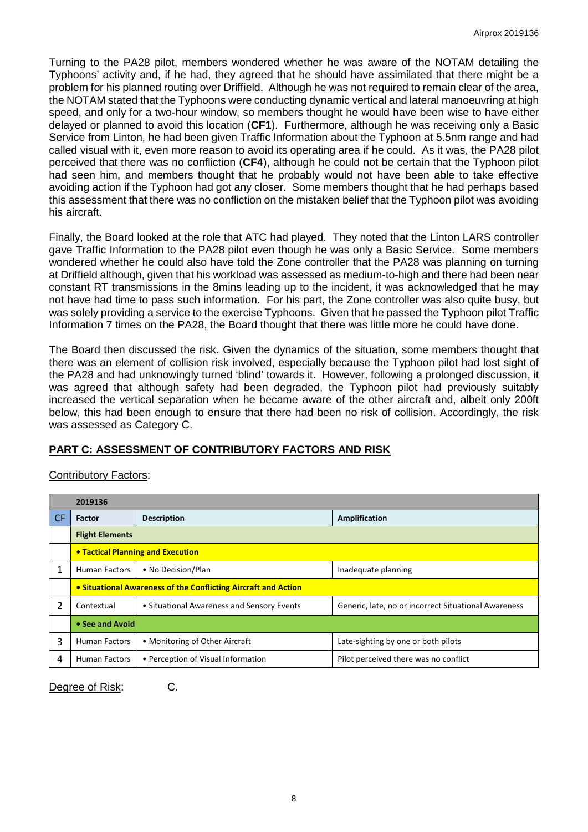Turning to the PA28 pilot, members wondered whether he was aware of the NOTAM detailing the Typhoons' activity and, if he had, they agreed that he should have assimilated that there might be a problem for his planned routing over Driffield. Although he was not required to remain clear of the area, the NOTAM stated that the Typhoons were conducting dynamic vertical and lateral manoeuvring at high speed, and only for a two-hour window, so members thought he would have been wise to have either delayed or planned to avoid this location (**CF1**). Furthermore, although he was receiving only a Basic Service from Linton, he had been given Traffic Information about the Typhoon at 5.5nm range and had called visual with it, even more reason to avoid its operating area if he could. As it was, the PA28 pilot perceived that there was no confliction (**CF4**), although he could not be certain that the Typhoon pilot had seen him, and members thought that he probably would not have been able to take effective avoiding action if the Typhoon had got any closer. Some members thought that he had perhaps based this assessment that there was no confliction on the mistaken belief that the Typhoon pilot was avoiding his aircraft.

Finally, the Board looked at the role that ATC had played. They noted that the Linton LARS controller gave Traffic Information to the PA28 pilot even though he was only a Basic Service. Some members wondered whether he could also have told the Zone controller that the PA28 was planning on turning at Driffield although, given that his workload was assessed as medium-to-high and there had been near constant RT transmissions in the 8mins leading up to the incident, it was acknowledged that he may not have had time to pass such information. For his part, the Zone controller was also quite busy, but was solely providing a service to the exercise Typhoons. Given that he passed the Typhoon pilot Traffic Information 7 times on the PA28, the Board thought that there was little more he could have done.

The Board then discussed the risk. Given the dynamics of the situation, some members thought that there was an element of collision risk involved, especially because the Typhoon pilot had lost sight of the PA28 and had unknowingly turned 'blind' towards it. However, following a prolonged discussion, it was agreed that although safety had been degraded, the Typhoon pilot had previously suitably increased the vertical separation when he became aware of the other aircraft and, albeit only 200ft below, this had been enough to ensure that there had been no risk of collision. Accordingly, the risk was assessed as Category C.

# **PART C: ASSESSMENT OF CONTRIBUTORY FACTORS AND RISK**

### Contributory Factors:

|           | 2019136                                                        |                                            |                                                      |  |  |
|-----------|----------------------------------------------------------------|--------------------------------------------|------------------------------------------------------|--|--|
| <b>CF</b> | Factor                                                         | <b>Description</b>                         | Amplification                                        |  |  |
|           | <b>Flight Elements</b>                                         |                                            |                                                      |  |  |
|           | • Tactical Planning and Execution                              |                                            |                                                      |  |  |
|           | <b>Human Factors</b>                                           | • No Decision/Plan                         | Inadequate planning                                  |  |  |
|           | • Situational Awareness of the Conflicting Aircraft and Action |                                            |                                                      |  |  |
| 2         | Contextual                                                     | • Situational Awareness and Sensory Events | Generic, late, no or incorrect Situational Awareness |  |  |
|           | • See and Avoid                                                |                                            |                                                      |  |  |
| 3         | Human Factors                                                  | • Monitoring of Other Aircraft             | Late-sighting by one or both pilots                  |  |  |
| 4         | <b>Human Factors</b>                                           | • Perception of Visual Information         | Pilot perceived there was no conflict                |  |  |

Degree of Risk: C.